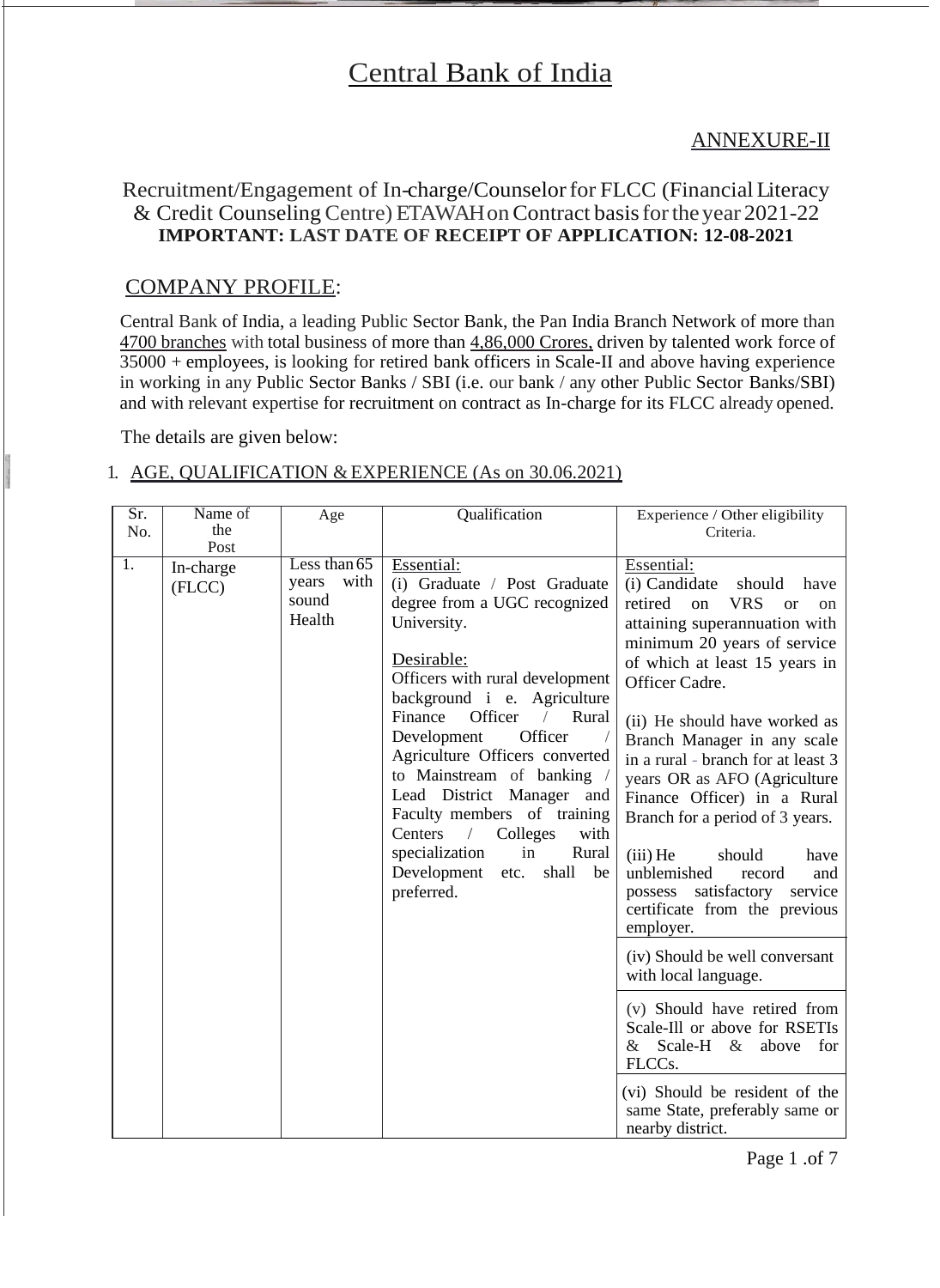# Central Bank of India

# ANNEXURE-II

# Recruitment/Engagement of In-charge/Counselor for FLCC (Financial Literacy & Credit Counseling Centre) ETAWAH on Contract basis for the year 2021-22 **IMPORTANT: LAST DATE OF RECEIPT OF APPLICATION: 12-08-2021**

#### COMPANY PROFILE:

Central Bank of India, a leading Public Sector Bank, the Pan India Branch Network of more than 4700 branches with total business of more than 4,86,000 Crores, driven by talented work force of 35000 + employees, is looking for retired bank officers in Scale-II and above having experience in working in any Public Sector Banks / SBI (i.e. our bank / any other Public Sector Banks/SBI) and with relevant expertise for recruitment on contract as In-charge for its FLCC already opened.

The details are given below:

#### 1. AGE, QUALIFICATION & EXPERIENCE (As on 30.06.2021)

| $\overline{\text{Sr.}}$ | Name of             | Age                                                | Qualification                                                                                                                                                                                                                                                                                                                                                                                                                                                                                         | Experience / Other eligibility                                                                                                                                                                                                                                                                                                                                                                                                                                                                                                                                                                                                               |
|-------------------------|---------------------|----------------------------------------------------|-------------------------------------------------------------------------------------------------------------------------------------------------------------------------------------------------------------------------------------------------------------------------------------------------------------------------------------------------------------------------------------------------------------------------------------------------------------------------------------------------------|----------------------------------------------------------------------------------------------------------------------------------------------------------------------------------------------------------------------------------------------------------------------------------------------------------------------------------------------------------------------------------------------------------------------------------------------------------------------------------------------------------------------------------------------------------------------------------------------------------------------------------------------|
| No.                     | the                 |                                                    |                                                                                                                                                                                                                                                                                                                                                                                                                                                                                                       | Criteria.                                                                                                                                                                                                                                                                                                                                                                                                                                                                                                                                                                                                                                    |
|                         | Post                |                                                    |                                                                                                                                                                                                                                                                                                                                                                                                                                                                                                       |                                                                                                                                                                                                                                                                                                                                                                                                                                                                                                                                                                                                                                              |
| 1.                      | In-charge<br>(FLCC) | Less than $65$<br>with<br>years<br>sound<br>Health | Essential:<br>(i) Graduate / Post Graduate<br>degree from a UGC recognized<br>University.<br>Desirable:<br>Officers with rural development<br>background i e. Agriculture<br>Finance<br>Officer<br>/ Rural<br>Officer<br>Development<br>Agriculture Officers converted<br>to Mainstream of banking /<br>Lead District Manager and<br>Faculty members of training<br>Centers<br>Colleges<br>$\frac{1}{2}$<br>with<br>specialization<br>in<br>Rural<br>Development<br>shall<br>be<br>etc.<br>preferred. | Essential:<br>(i) Candidate<br>should<br>have<br><b>VRS</b><br>retired<br>on<br>$\alpha$<br><sub>on</sub><br>attaining superannuation with<br>minimum 20 years of service<br>of which at least 15 years in<br>Officer Cadre.<br>(ii) He should have worked as<br>Branch Manager in any scale<br>in a rural - branch for at least 3<br>years OR as AFO (Agriculture<br>Finance Officer) in a Rural<br>Branch for a period of 3 years.<br>$(iii)$ He<br>should<br>have<br>unblemished<br>record<br>and<br>possess satisfactory service<br>certificate from the previous<br>employer.<br>(iv) Should be well conversant<br>with local language. |
|                         |                     |                                                    |                                                                                                                                                                                                                                                                                                                                                                                                                                                                                                       | (v) Should have retired from<br>Scale-Ill or above for RSETIs<br>Scale-H &<br>$\&$<br>above for<br>FLCCs.                                                                                                                                                                                                                                                                                                                                                                                                                                                                                                                                    |
|                         |                     |                                                    |                                                                                                                                                                                                                                                                                                                                                                                                                                                                                                       | (vi) Should be resident of the<br>same State, preferably same or<br>nearby district.                                                                                                                                                                                                                                                                                                                                                                                                                                                                                                                                                         |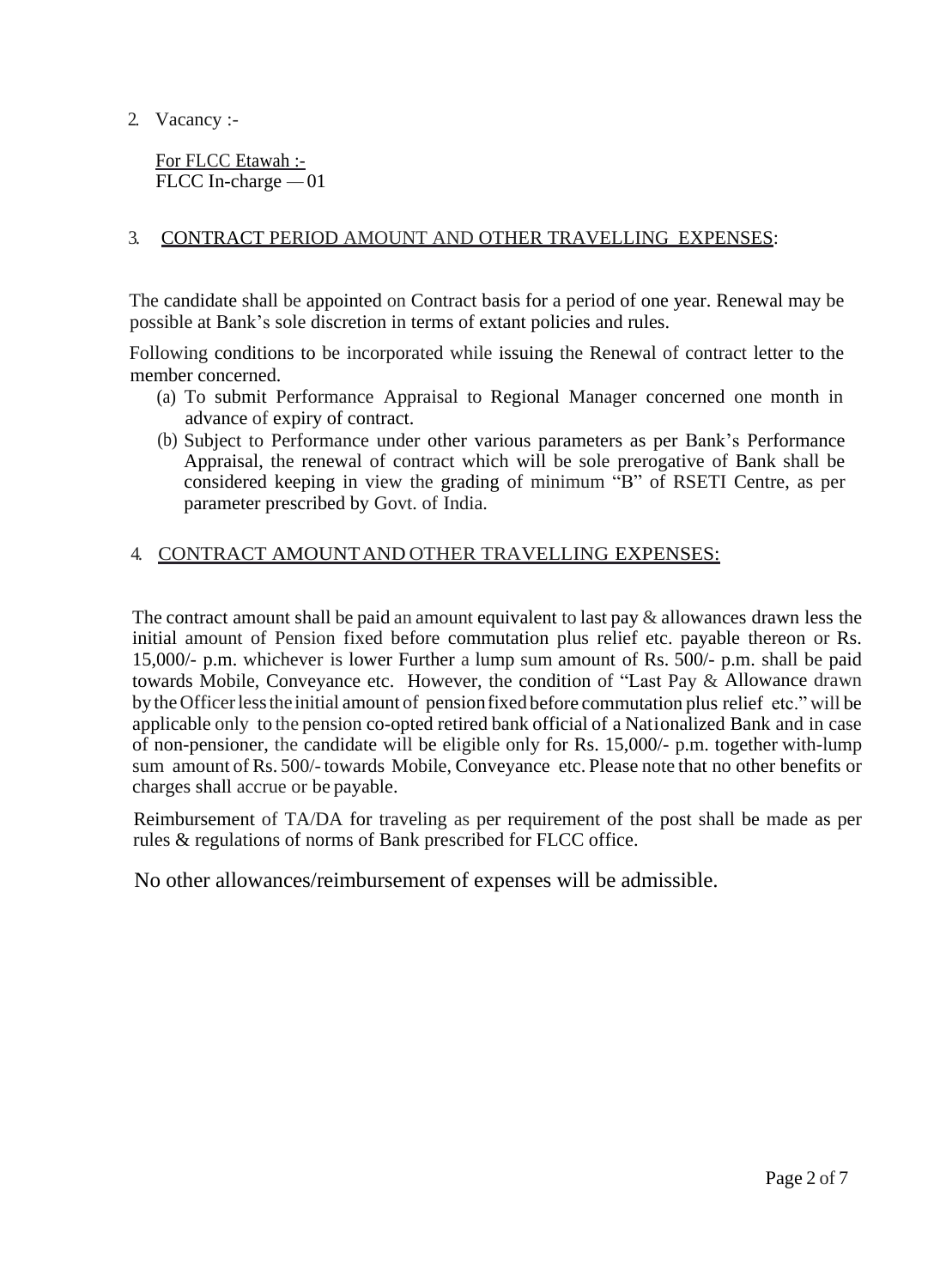2. Vacancy :-

For FLCC Etawah :- FLCC In-charge — 01

#### 3. CONTRACT PERIOD AMOUNT AND OTHER TRAVELLING EXPENSES:

The candidate shall be appointed on Contract basis for a period of one year. Renewal may be possible at Bank's sole discretion in terms of extant policies and rules.

Following conditions to be incorporated while issuing the Renewal of contract letter to the member concerned.

- (a) To submit Performance Appraisal to Regional Manager concerned one month in advance of expiry of contract.
- (b) Subject to Performance under other various parameters as per Bank's Performance Appraisal, the renewal of contract which will be sole prerogative of Bank shall be considered keeping in view the grading of minimum "B" of RSETI Centre, as per parameter prescribed by Govt. of India.

#### 4. CONTRACT AMOUNT AND OTHER TRAVELLING EXPENSES:

The contract amount shall be paid an amount equivalent to last pay  $\&$  allowances drawn less the initial amount of Pension fixed before commutation plus relief etc. payable thereon or Rs. 15,000/- p.m. whichever is lower Further a lump sum amount of Rs. 500/- p.m. shall be paid towards Mobile, Conveyance etc. However, the condition of "Last Pay & Allowance drawn bytheOfficerlessthe initial amount of pensionfixed before commutation plus relief etc." will be applicable only to the pension co-opted retired bank official of a Nationalized Bank and in case of non-pensioner, the candidate will be eligible only for Rs. 15,000/- p.m. together with-lump sum amount of Rs. 500/-towards Mobile, Conveyance etc. Please note that no other benefits or charges shall accrue or be payable.

Reimbursement of TA/DA for traveling as per requirement of the post shall be made as per rules & regulations of norms of Bank prescribed for FLCC office.

No other allowances/reimbursement of expenses will be admissible.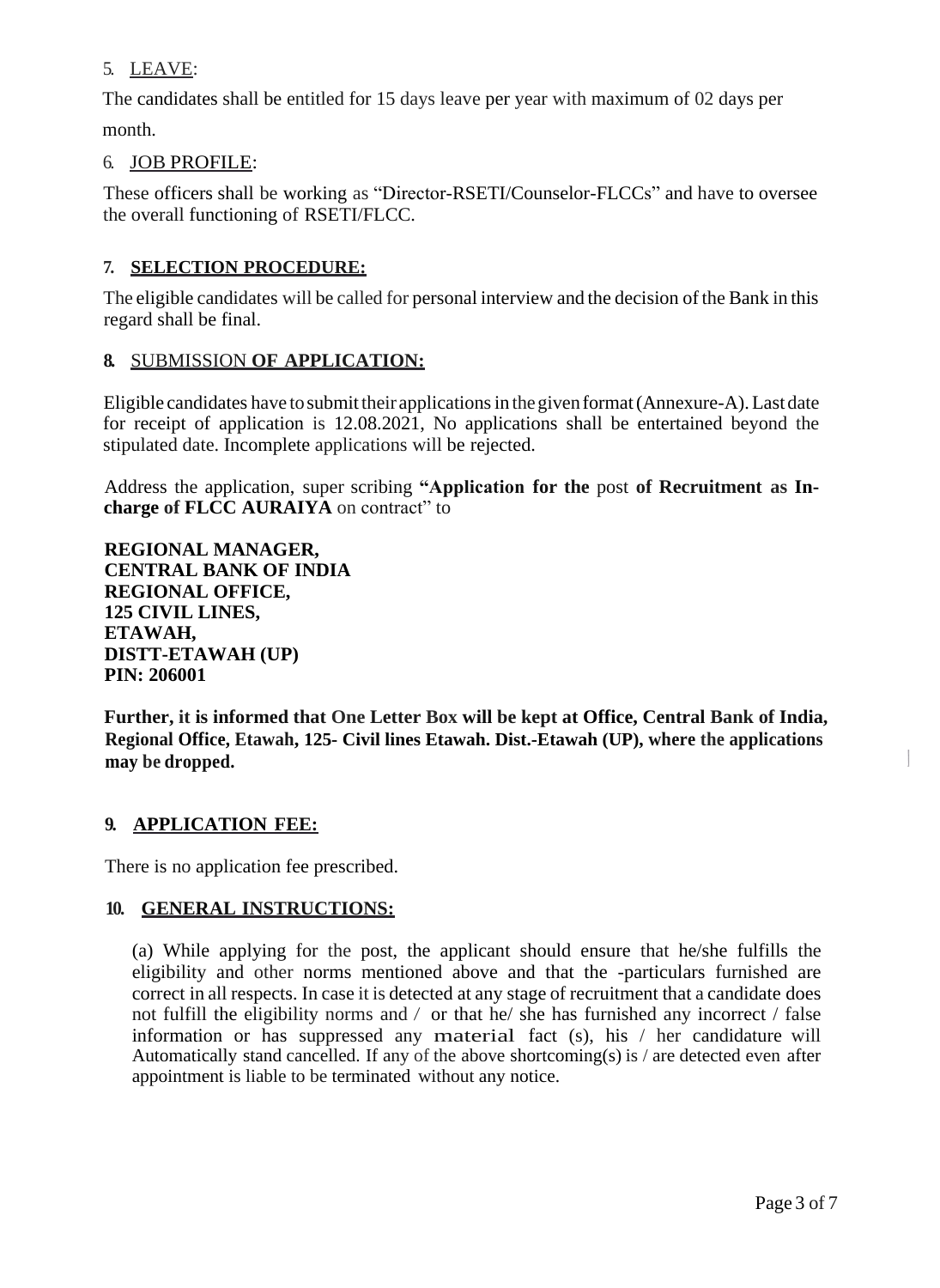## 5. LEAVE:

The candidates shall be entitled for 15 days leave per year with maximum of 02 days per month.

#### 6. JOB PROFILE:

These officers shall be working as "Director-RSETI/Counselor-FLCCs" and have to oversee the overall functioning of RSETI/FLCC.

#### **7. SELECTION PROCEDURE:**

The eligible candidates will be called for personal interview and the decision of the Bank in this regard shall be final.

#### **8.** SUBMISSION **OF APPLICATION:**

Eligible candidates have to submit their applications in the given format (Annexure-A). Last date for receipt of application is 12.08.2021, No applications shall be entertained beyond the stipulated date. Incomplete applications will be rejected.

Address the application, super scribing **"Application for the** post **of Recruitment as Incharge of FLCC AURAIYA** on contract" to

**REGIONAL MANAGER, CENTRAL BANK OF INDIA REGIONAL OFFICE, 125 CIVIL LINES, ETAWAH, DISTT-ETAWAH (UP) PIN: 206001**

**Further, it is informed that One Letter Box will be kept at Office, Central Bank of India, Regional Office, Etawah, 125- Civil lines Etawah. Dist.-Etawah (UP), where the applications may be dropped.**

#### **9. APPLICATION FEE:**

There is no application fee prescribed.

#### **10. GENERAL INSTRUCTIONS:**

(a) While applying for the post, the applicant should ensure that he/she fulfills the eligibility and other norms mentioned above and that the -particulars furnished are correct in all respects. In case it is detected at any stage of recruitment that a candidate does not fulfill the eligibility norms and */* or that he/ she has furnished any incorrect / false information or has suppressed any material fact (s), his / her candidature will Automatically stand cancelled. If any of the above shortcoming(s) is / are detected even after appointment is liable to be terminated without any notice.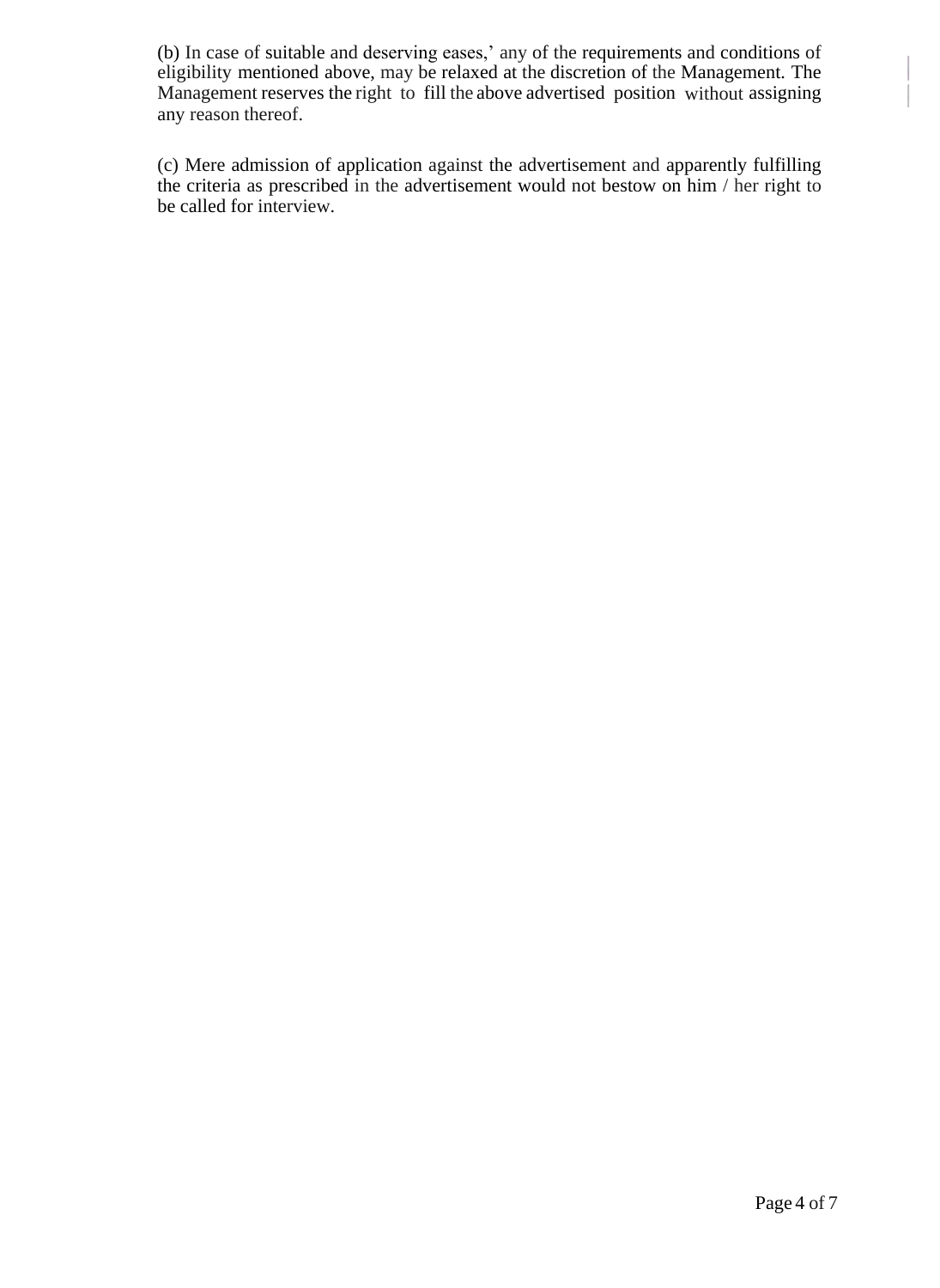(b) In case of suitable and deserving eases,' any of the requirements and conditions of eligibility mentioned above, may be relaxed at the discretion of the Management. The Management reserves the right to fill the above advertised position without assigning any reason thereof.

(c) Mere admission of application against the advertisement and apparently fulfilling the criteria as prescribed in the advertisement would not bestow on him / her right to be called for interview.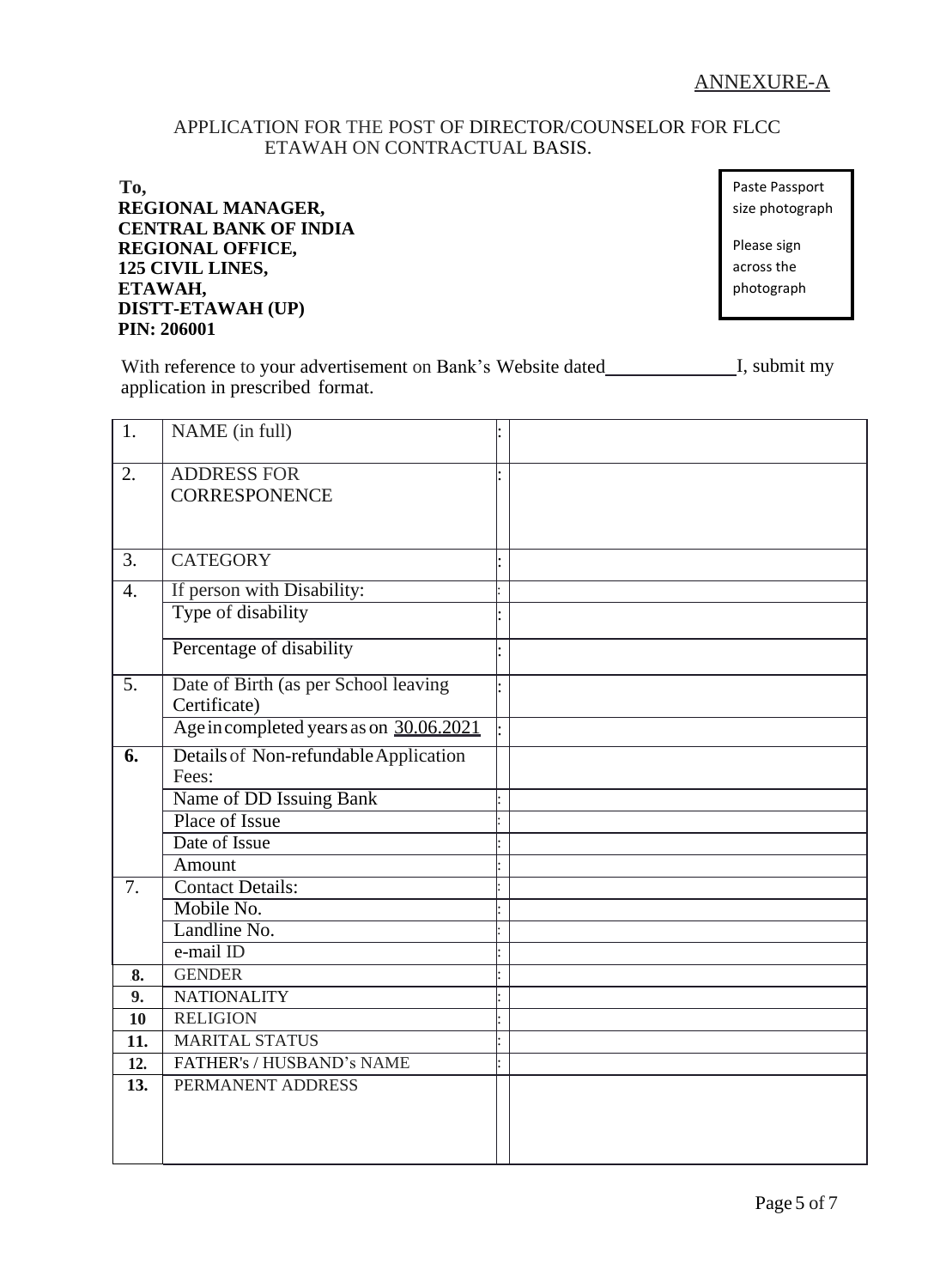#### APPLICATION FOR THE POST OF DIRECTOR/COUNSELOR FOR FLCC ETAWAH ON CONTRACTUAL BASIS.

**To, REGIONAL MANAGER, CENTRAL BANK OF INDIA REGIONAL OFFICE, 125 CIVIL LINES, ETAWAH, DISTT-ETAWAH (UP) PIN: 206001**

Paste Passport size photograph

Please sign across the photograph

With reference to your advertisement on Bank's Website dated I, submit my application in prescribed format.

| 1.               | NAME (in full)                                       |  |
|------------------|------------------------------------------------------|--|
| 2.               | <b>ADDRESS FOR</b><br><b>CORRESPONENCE</b>           |  |
| 3.               | <b>CATEGORY</b>                                      |  |
| $\overline{4}$ . | If person with Disability:                           |  |
|                  | Type of disability                                   |  |
|                  | Percentage of disability                             |  |
| $\overline{5}$ . | Date of Birth (as per School leaving<br>Certificate) |  |
|                  | Age incompleted years as on 30.06.2021               |  |
| 6.               | Details of Non-refundable Application<br>Fees:       |  |
|                  | Name of DD Issuing Bank                              |  |
|                  | Place of Issue                                       |  |
|                  | Date of Issue                                        |  |
|                  | Amount                                               |  |
| $\overline{7}$ . | <b>Contact Details:</b>                              |  |
|                  | Mobile No.                                           |  |
|                  | Landline No.                                         |  |
|                  | e-mail ID                                            |  |
| 8.               | <b>GENDER</b>                                        |  |
| 9.               | <b>NATIONALITY</b>                                   |  |
| 10               | <b>RELIGION</b>                                      |  |
| 11.              | <b>MARITAL STATUS</b>                                |  |
| 12.              | FATHER's / HUSBAND's NAME                            |  |
| 13.              | PERMANENT ADDRESS                                    |  |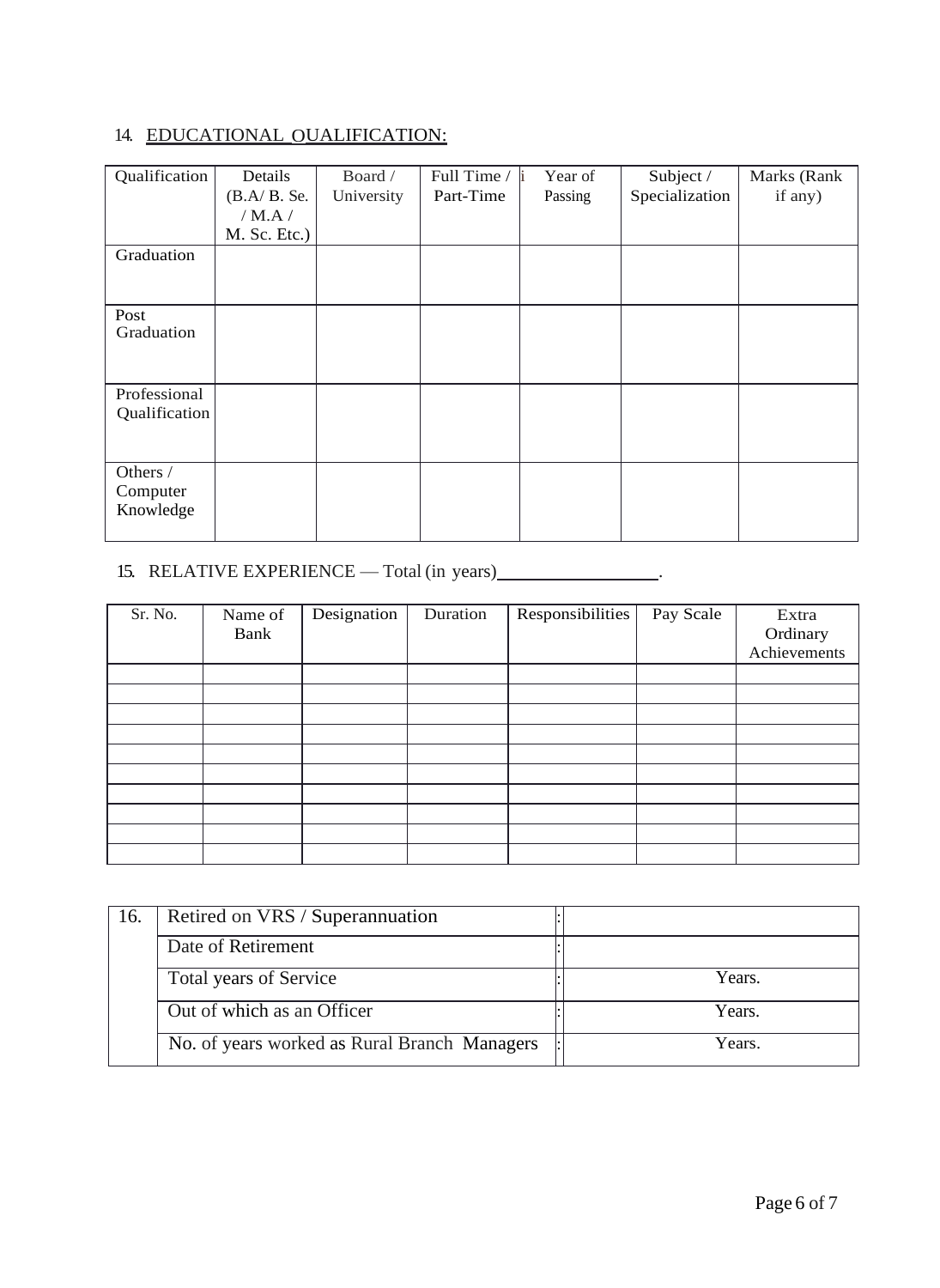# 14. EDUCATIONAL OUALIFICATION:

| Qualification | Details       | Board /    | Full Time / | Year of<br>h | Subject /      | Marks (Rank |
|---------------|---------------|------------|-------------|--------------|----------------|-------------|
|               | $(B.A/B.$ Se. | University | Part-Time   | Passing      | Specialization | if any)     |
|               | / $M.A$ /     |            |             |              |                |             |
|               | M. Sc. Etc.)  |            |             |              |                |             |
| Graduation    |               |            |             |              |                |             |
|               |               |            |             |              |                |             |
|               |               |            |             |              |                |             |
| Post          |               |            |             |              |                |             |
| Graduation    |               |            |             |              |                |             |
|               |               |            |             |              |                |             |
|               |               |            |             |              |                |             |
| Professional  |               |            |             |              |                |             |
| Qualification |               |            |             |              |                |             |
|               |               |            |             |              |                |             |
|               |               |            |             |              |                |             |
| Others /      |               |            |             |              |                |             |
| Computer      |               |            |             |              |                |             |
| Knowledge     |               |            |             |              |                |             |
|               |               |            |             |              |                |             |

# 15. RELATIVE EXPERIENCE — Total (in years) \_\_\_\_\_\_\_\_\_\_\_\_\_\_\_\_.

| Sr. No. | Name of<br>Bank | Designation | Duration | Responsibilities | Pay Scale | Extra<br>Ordinary<br>Achievements |
|---------|-----------------|-------------|----------|------------------|-----------|-----------------------------------|
|         |                 |             |          |                  |           |                                   |
|         |                 |             |          |                  |           |                                   |
|         |                 |             |          |                  |           |                                   |
|         |                 |             |          |                  |           |                                   |
|         |                 |             |          |                  |           |                                   |
|         |                 |             |          |                  |           |                                   |
|         |                 |             |          |                  |           |                                   |
|         |                 |             |          |                  |           |                                   |
|         |                 |             |          |                  |           |                                   |
|         |                 |             |          |                  |           |                                   |

| 16. | Retired on VRS / Superannuation              |        |
|-----|----------------------------------------------|--------|
|     |                                              |        |
|     | Date of Retirement                           |        |
|     |                                              |        |
|     | <b>Total years of Service</b>                | Years. |
|     |                                              |        |
|     | Out of which as an Officer                   | Years. |
|     |                                              |        |
|     | No. of years worked as Rural Branch Managers | Years. |
|     |                                              |        |
|     |                                              |        |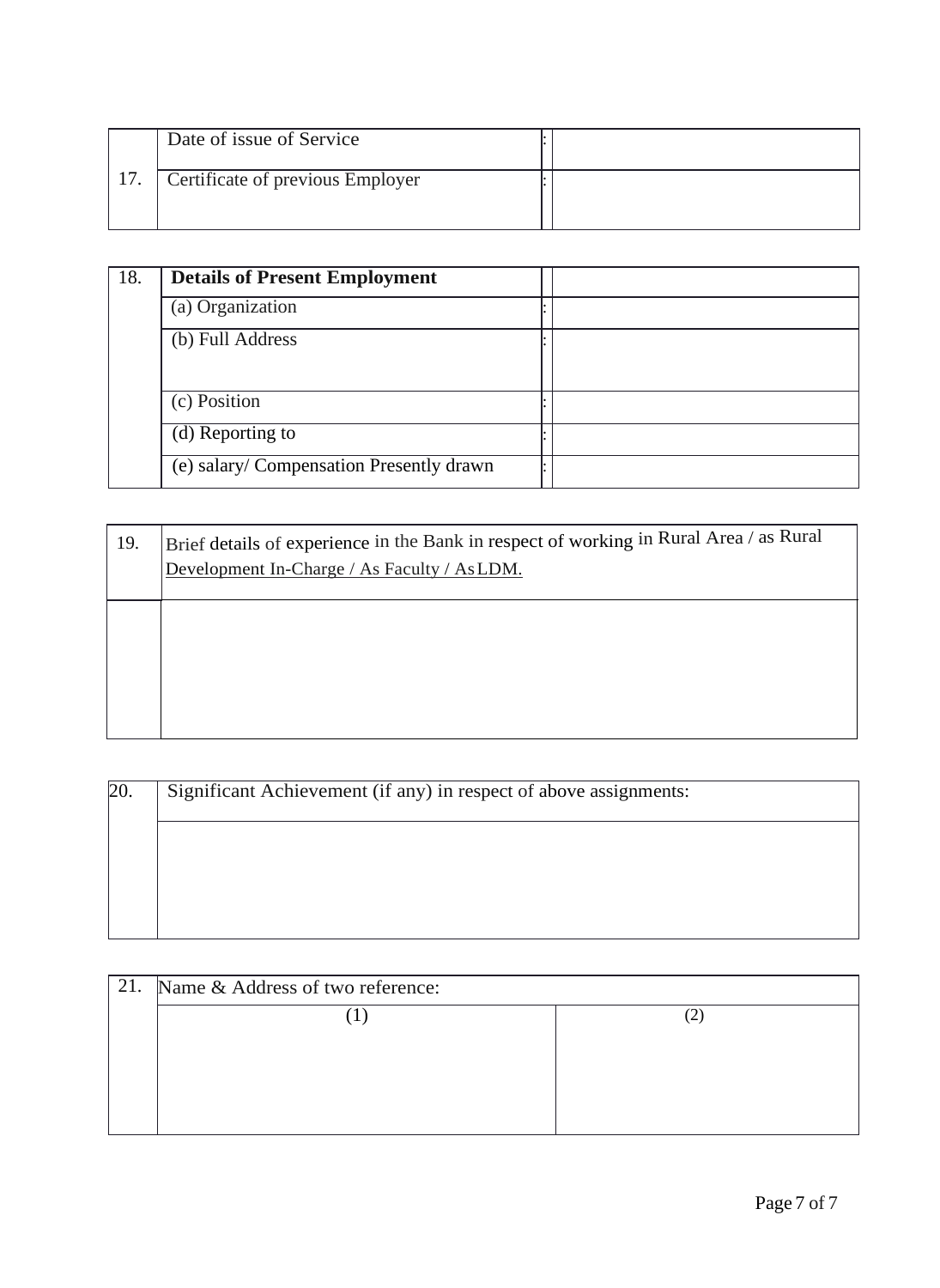|     | Date of issue of Service         |  |
|-----|----------------------------------|--|
| 17. | Certificate of previous Employer |  |
|     |                                  |  |

| 18. | <b>Details of Present Employment</b>     |  |
|-----|------------------------------------------|--|
|     | (a) Organization                         |  |
|     | (b) Full Address                         |  |
|     | (c) Position                             |  |
|     | (d) Reporting to                         |  |
|     | (e) salary/ Compensation Presently drawn |  |

| 19. | Brief details of experience in the Bank in respect of working in Rural Area / as Rural<br>Development In-Charge / As Faculty / As LDM. |
|-----|----------------------------------------------------------------------------------------------------------------------------------------|
|     |                                                                                                                                        |
|     |                                                                                                                                        |
|     |                                                                                                                                        |
|     |                                                                                                                                        |
|     |                                                                                                                                        |
|     |                                                                                                                                        |
|     |                                                                                                                                        |

| 20. | Significant Achievement (if any) in respect of above assignments: |  |  |  |  |
|-----|-------------------------------------------------------------------|--|--|--|--|
|     |                                                                   |  |  |  |  |
|     |                                                                   |  |  |  |  |
|     |                                                                   |  |  |  |  |

| 21. | Name & Address of two reference: |  |
|-----|----------------------------------|--|
|     |                                  |  |
|     |                                  |  |
|     |                                  |  |
|     |                                  |  |
|     |                                  |  |